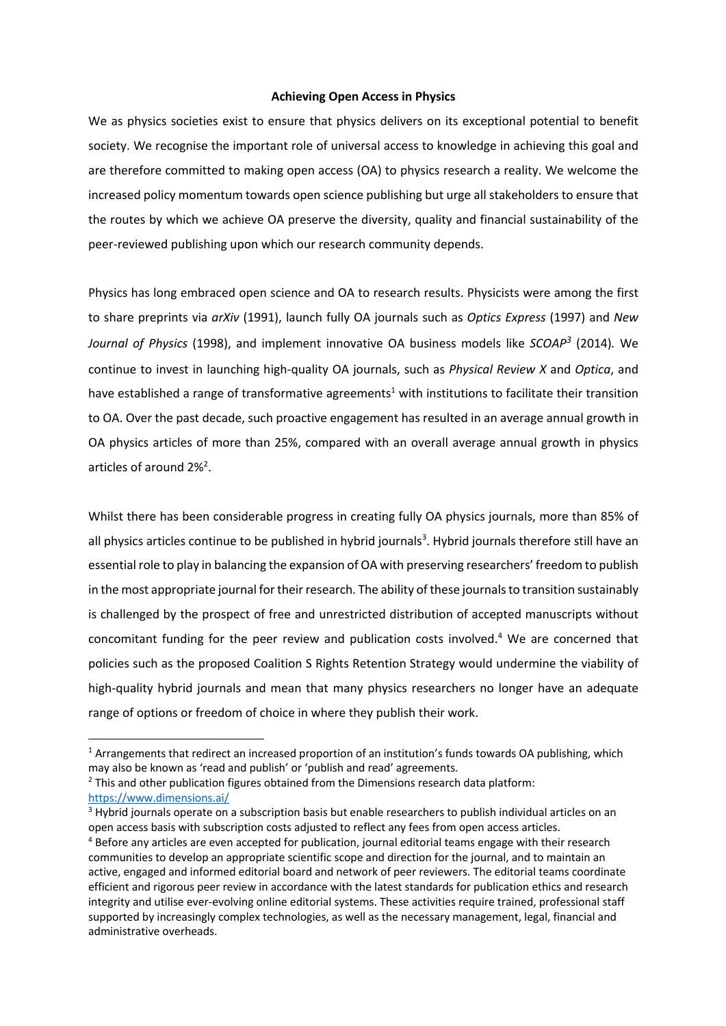## **Achieving Open Access in Physics**

We as physics societies exist to ensure that physics delivers on its exceptional potential to benefit society. We recognise the important role of universal access to knowledge in achieving this goal and are therefore committed to making open access (OA) to physics research a reality. We welcome the increased policy momentum towards open science publishing but urge all stakeholders to ensure that the routes by which we achieve OA preserve the diversity, quality and financial sustainability of the peer-reviewed publishing upon which our research community depends.

Physics has long embraced open science and OA to research results. Physicists were among the first to share preprints via *arXiv* (1991), launch fully OA journals such as *Optics Express* (1997) and *New Journal of Physics* (1998), and implement innovative OA business models like *SCOAP3* (2014)*.* We continue to invest in launching high-quality OA journals, such as *Physical Review X* and *Optica*, and have established a range of transformative agreements<sup>1</sup> with institutions to facilitate their transition to OA. Over the past decade, such proactive engagement has resulted in an average annual growth in OA physics articles of more than 25%, compared with an overall average annual growth in physics articles of around 2%<sup>2</sup>.

Whilst there has been considerable progress in creating fully OA physics journals, more than 85% of all physics articles continue to be published in hybrid journals<sup>3</sup>. Hybrid journals therefore still have an essential role to play in balancing the expansion of OA with preserving researchers' freedom to publish in the most appropriate journal for their research. The ability of these journals to transition sustainably is challenged by the prospect of free and unrestricted distribution of accepted manuscripts without concomitant funding for the peer review and publication costs involved. <sup>4</sup> We are concerned that policies such as the proposed Coalition S Rights Retention Strategy would undermine the viability of high-quality hybrid journals and mean that many physics researchers no longer have an adequate range of options or freedom of choice in where they publish their work.

<sup>&</sup>lt;sup>1</sup> Arrangements that redirect an increased proportion of an institution's funds towards OA publishing, which may also be known as 'read and publish' or 'publish and read' agreements.

 $<sup>2</sup>$  This and other publication figures obtained from the Dimensions research data platform:</sup> https://www.dimensions.ai/

<sup>&</sup>lt;sup>3</sup> Hybrid journals operate on a subscription basis but enable researchers to publish individual articles on an open access basis with subscription costs adjusted to reflect any fees from open access articles.

<sup>4</sup> Before any articles are even accepted for publication, journal editorial teams engage with their research communities to develop an appropriate scientific scope and direction for the journal, and to maintain an active, engaged and informed editorial board and network of peer reviewers. The editorial teams coordinate efficient and rigorous peer review in accordance with the latest standards for publication ethics and research integrity and utilise ever-evolving online editorial systems. These activities require trained, professional staff supported by increasingly complex technologies, as well as the necessary management, legal, financial and administrative overheads.